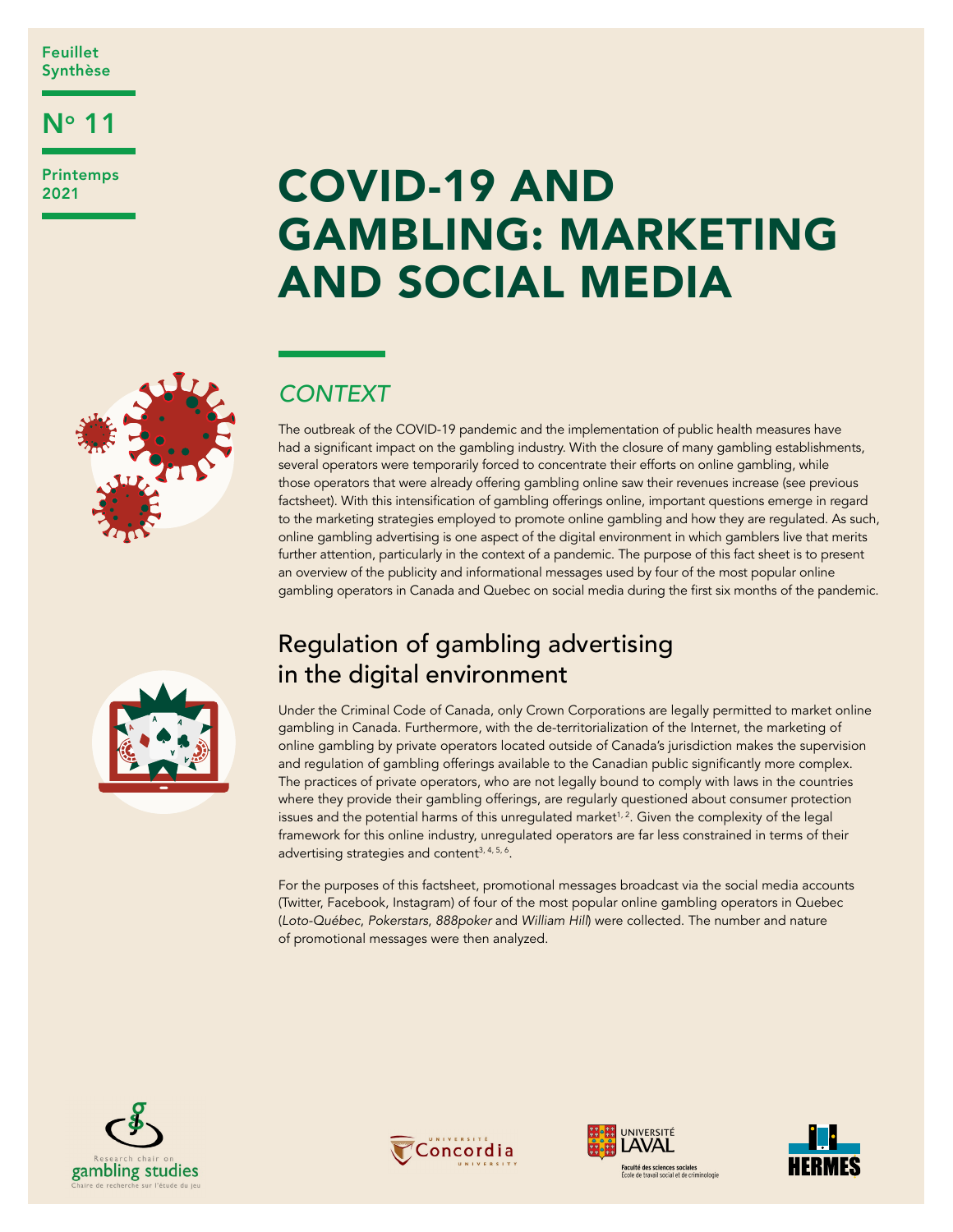**Feuillet** Synthèse

## No 11

**Printemps** 2021

# COVID-19 AND GAMBLING: MARKETING AND SOCIAL MEDIA



## *CONTEXT*

The outbreak of the COVID-19 pandemic and the implementation of public health measures have had a significant impact on the gambling industry. With the closure of many gambling establishments, several operators were temporarily forced to concentrate their efforts on online gambling, while those operators that were already offering gambling online saw their revenues increase (see previous factsheet). With this intensification of gambling offerings online, important questions emerge in regard to the marketing strategies employed to promote online gambling and how they are regulated. As such, online gambling advertising is one aspect of the digital environment in which gamblers live that merits further attention, particularly in the context of a pandemic. The purpose of this fact sheet is to present an overview of the publicity and informational messages used by four of the most popular online gambling operators in Canada and Quebec on social media during the first six months of the pandemic.

## Regulation of gambling advertising in the digital environment

Under the Criminal Code of Canada, only Crown Corporations are legally permitted to market online gambling in Canada. Furthermore, with the de-territorialization of the Internet, the marketing of online gambling by private operators located outside of Canada's jurisdiction makes the supervision and regulation of gambling offerings available to the Canadian public significantly more complex. The practices of private operators, who are not legally bound to comply with laws in the countries where they provide their gambling offerings, are regularly questioned about consumer protection issues and the potential harms of this unregulated market<sup> $1, 2$ </sup>. Given the complexity of the legal framework for this online industry, unregulated operators are far less constrained in terms of their advertising strategies and content<sup>3, 4, 5, 6</sup>.

For the purposes of this factsheet, promotional messages broadcast via the social media accounts (Twitter, Facebook, Instagram) of four of the most popular online gambling operators in Quebec (*Loto-Québec*, *Pokerstars*, *888poker* and *William Hill*) were collected. The number and nature of promotional messages were then analyzed.







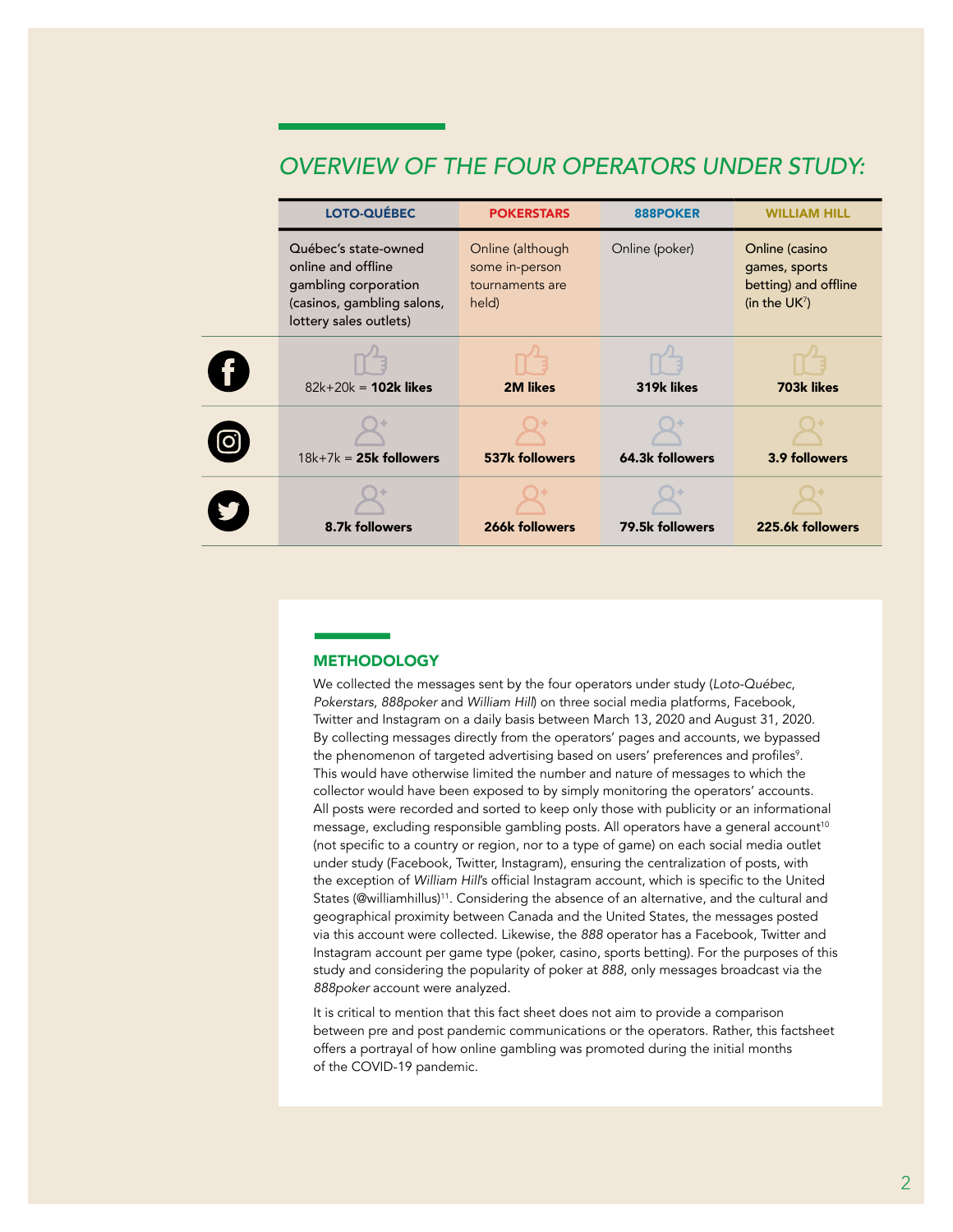## *OVERVIEW OF THE FOUR OPERATORS UNDER STUDY:*

|                | <b>LOTO-QUÉBEC</b>                                                                                                         | <b>POKERSTARS</b>                                              | 888POKER        | <b>WILLIAM HILL</b>                                                        |
|----------------|----------------------------------------------------------------------------------------------------------------------------|----------------------------------------------------------------|-----------------|----------------------------------------------------------------------------|
|                | Québec's state-owned<br>online and offline<br>gambling corporation<br>(casinos, gambling salons,<br>lottery sales outlets) | Online (although<br>some in-person<br>tournaments are<br>held) | Online (poker)  | Online (casino<br>games, sports<br>betting) and offline<br>(in the $UK7$ ) |
| $\mathbf \Phi$ | $82k + 20k = 102k$ likes                                                                                                   | <b>2M likes</b>                                                | 319k likes      | 703k likes                                                                 |
|                | $18k+7k = 25k$ followers                                                                                                   | 537k followers                                                 | 64.3k followers | 3.9 followers                                                              |
|                | 8.7k followers                                                                                                             | 266k followers                                                 | 79.5k followers | 225.6k followers                                                           |

#### **METHODOLOGY**

We collected the messages sent by the four operators under study (*Loto-Québec*, *Pokerstars*, *888poker* and *William Hill*) on three social media platforms, Facebook, Twitter and Instagram on a daily basis between March 13, 2020 and August 31, 2020. By collecting messages directly from the operators' pages and accounts, we bypassed the phenomenon of targeted advertising based on users' preferences and profiles<sup>9</sup>. This would have otherwise limited the number and nature of messages to which the collector would have been exposed to by simply monitoring the operators' accounts. All posts were recorded and sorted to keep only those with publicity or an informational message, excluding responsible gambling posts. All operators have a general account<sup>10</sup> (not specific to a country or region, nor to a type of game) on each social media outlet under study (Facebook, Twitter, Instagram), ensuring the centralization of posts, with the exception of *William Hill*'s official Instagram account, which is specific to the United States (@williamhillus)<sup>11</sup>. Considering the absence of an alternative, and the cultural and geographical proximity between Canada and the United States, the messages posted via this account were collected. Likewise, the *888* operator has a Facebook, Twitter and Instagram account per game type (poker, casino, sports betting). For the purposes of this study and considering the popularity of poker at *888*, only messages broadcast via the *888poker* account were analyzed.

It is critical to mention that this fact sheet does not aim to provide a comparison between pre and post pandemic communications or the operators. Rather, this factsheet offers a portrayal of how online gambling was promoted during the initial months of the COVID-19 pandemic.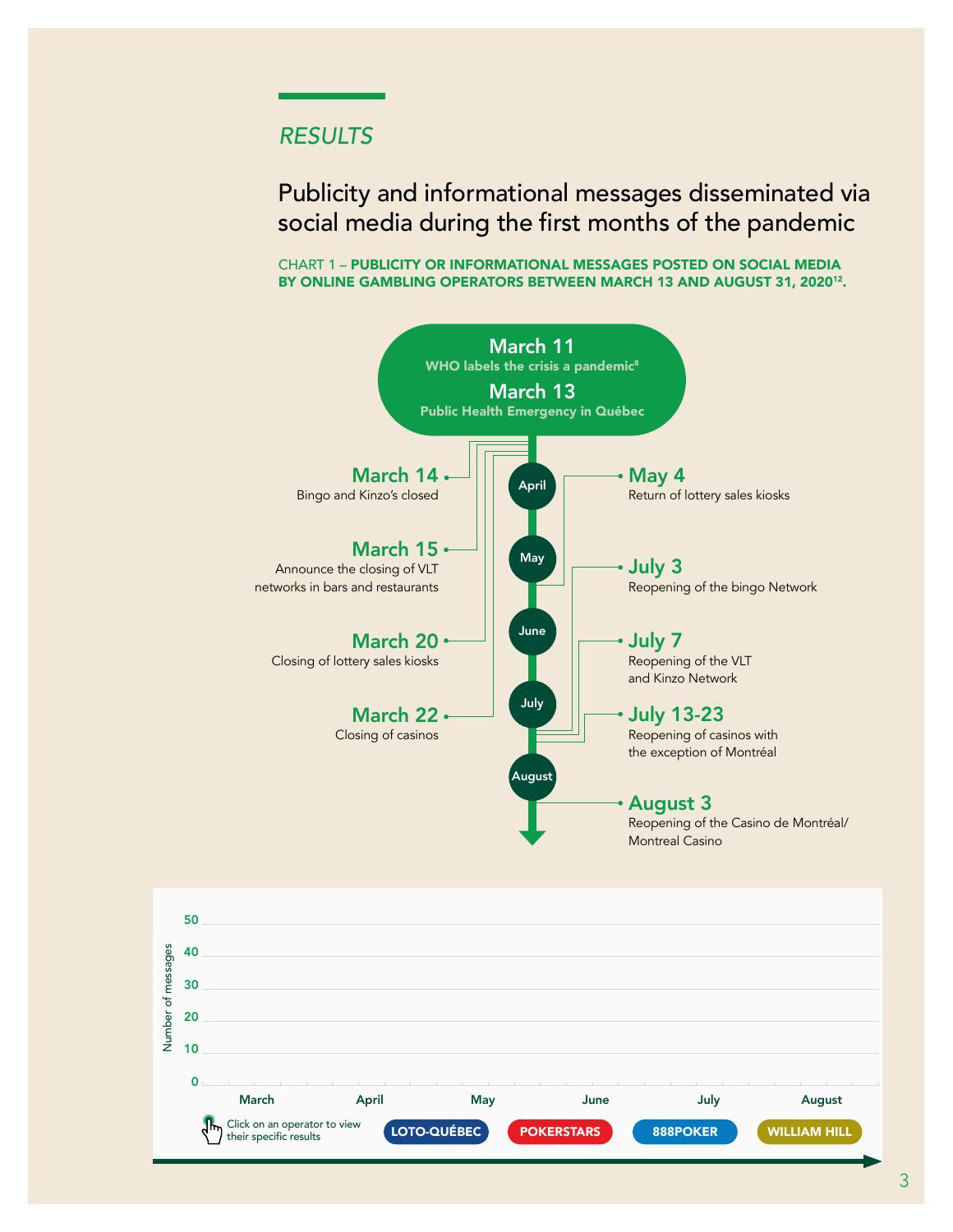## *RESULTS*

Publicity and informational messages disseminated via social media during the first months of the pandemic

CHART 1 – PUBLICITY OR INFORMATIONAL MESSAGES POSTED ON SOCIAL MEDIA BY ONLINE GAMBLING OPERATORS BETWEEN MARCH 13 AND AUGUST 31, 2020<sup>12</sup>.



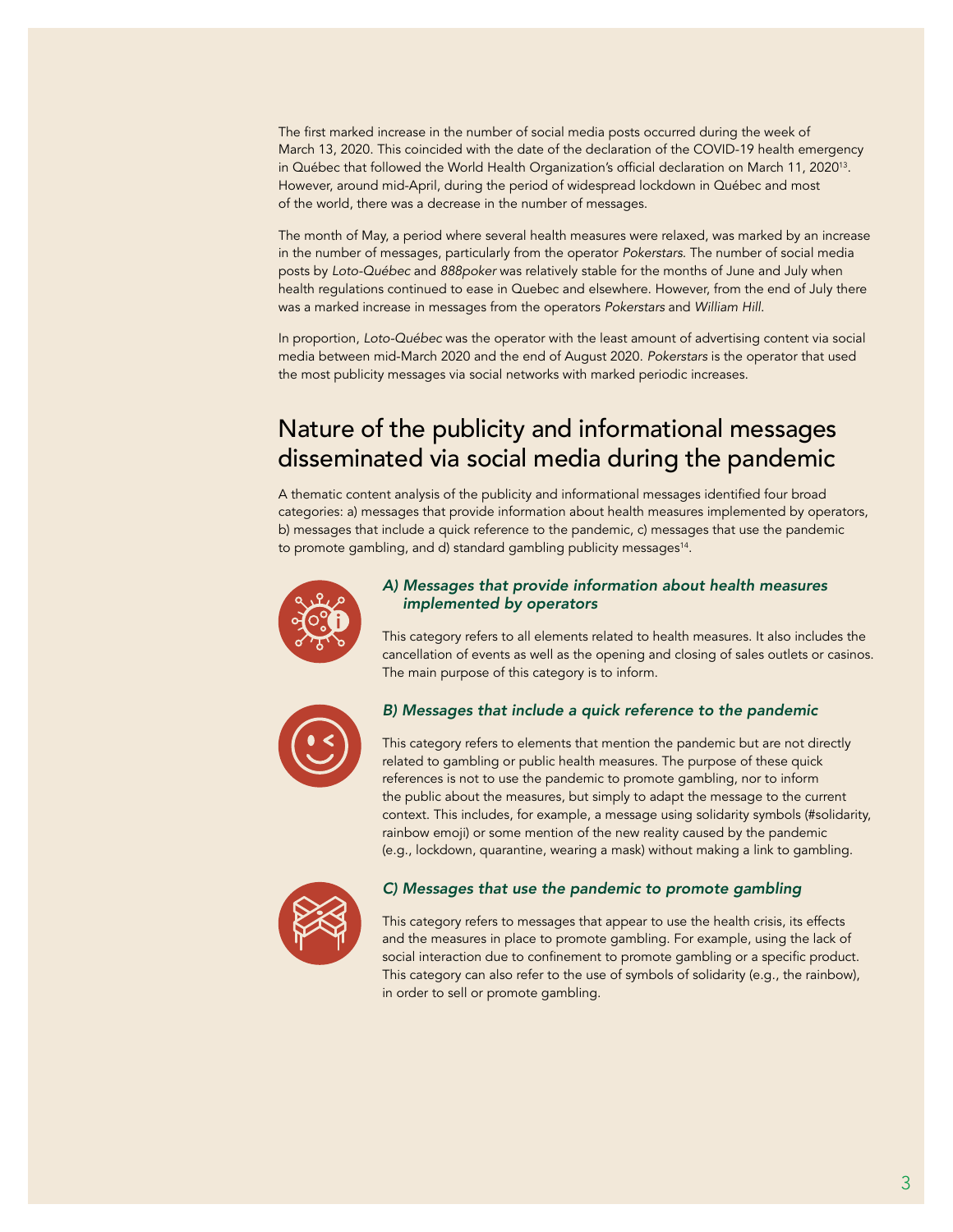The first marked increase in the number of social media posts occurred during the week of March 13, 2020. This coincided with the date of the declaration of the COVID-19 health emergency in Québec that followed the World Health Organization's official declaration on March 11, 2020<sup>13</sup>. However, around mid-April, during the period of widespread lockdown in Québec and most of the world, there was a decrease in the number of messages.

The month of May, a period where several health measures were relaxed, was marked by an increase in the number of messages, particularly from the operator *Pokerstars*. The number of social media posts by *Loto-Québec* and *888poker* was relatively stable for the months of June and July when health regulations continued to ease in Quebec and elsewhere. However, from the end of July there was a marked increase in messages from the operators *Pokerstars* and *William Hill*.

In proportion, *Loto-Québec* was the operator with the least amount of advertising content via social media between mid-March 2020 and the end of August 2020. *Pokerstars* is the operator that used the most publicity messages via social networks with marked periodic increases.

## Nature of the publicity and informational messages disseminated via social media during the pandemic

A thematic content analysis of the publicity and informational messages identified four broad categories: a) messages that provide information about health measures implemented by operators, b) messages that include a quick reference to the pandemic, c) messages that use the pandemic to promote gambling, and d) standard gambling publicity messages<sup>14</sup>.



#### *A) Messages that provide information about health measures implemented by operators*

This category refers to all elements related to health measures. It also includes the cancellation of events as well as the opening and closing of sales outlets or casinos. The main purpose of this category is to inform.



#### *B) Messages that include a quick reference to the pandemic*

This category refers to elements that mention the pandemic but are not directly related to gambling or public health measures. The purpose of these quick references is not to use the pandemic to promote gambling, nor to inform the public about the measures, but simply to adapt the message to the current context. This includes, for example, a message using solidarity symbols (#solidarity, rainbow emoji) or some mention of the new reality caused by the pandemic (e.g., lockdown, quarantine, wearing a mask) without making a link to gambling.



#### *C) Messages that use the pandemic to promote gambling*

This category refers to messages that appear to use the health crisis, its effects and the measures in place to promote gambling. For example, using the lack of social interaction due to confinement to promote gambling or a specific product. This category can also refer to the use of symbols of solidarity (e.g., the rainbow), in order to sell or promote gambling.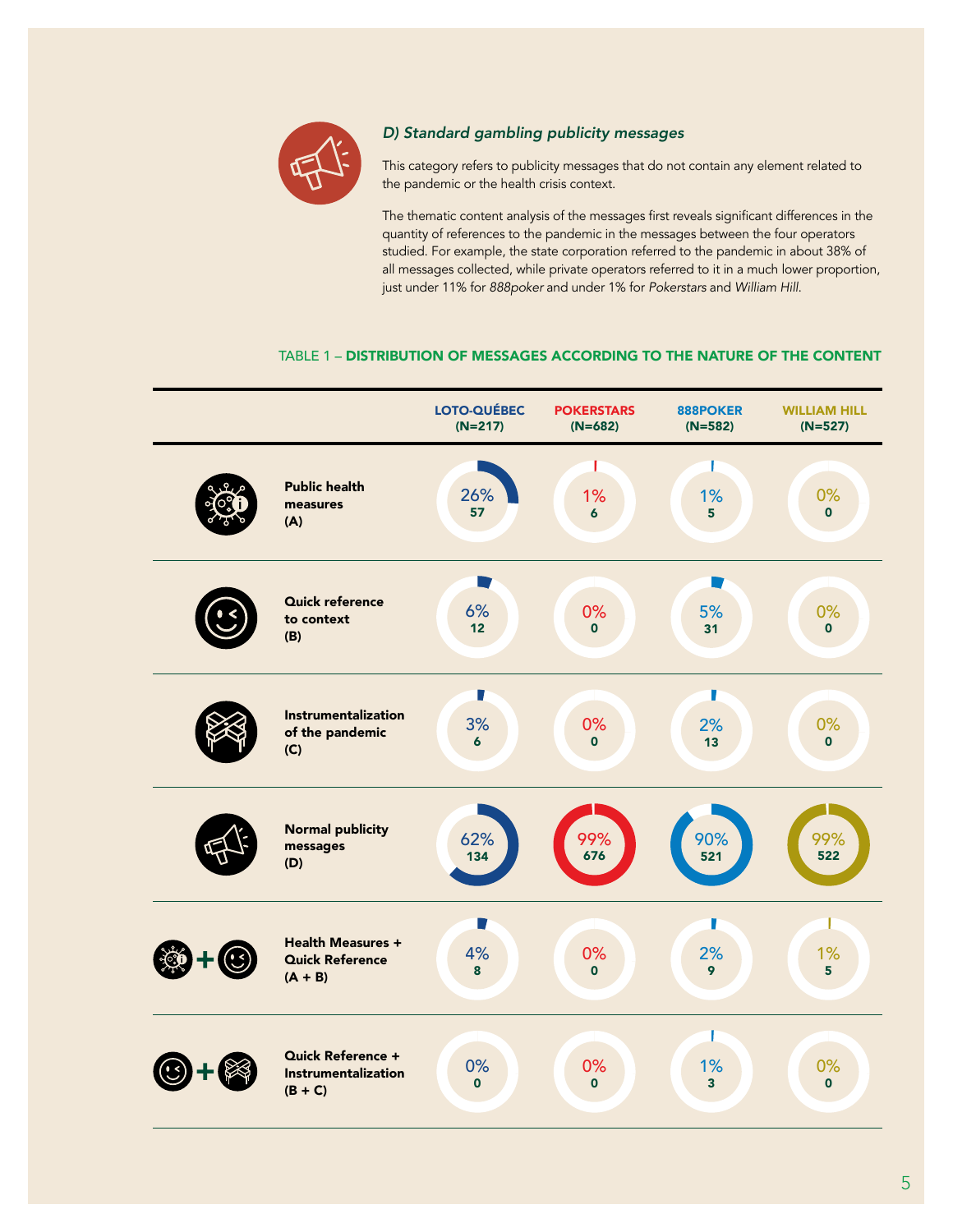

#### *D) Standard gambling publicity messages*

This category refers to publicity messages that do not contain any element related to the pandemic or the health crisis context.

The thematic content analysis of the messages first reveals significant differences in the quantity of references to the pandemic in the messages between the four operators studied. For example, the state corporation referred to the pandemic in about 38% of all messages collected, while private operators referred to it in a much lower proportion, just under 11% for *888poker* and under 1% for *Pokerstars* and *William Hill*.

#### TABLE 1 – DISTRIBUTION OF MESSAGES ACCORDING TO THE NATURE OF THE CONTENT

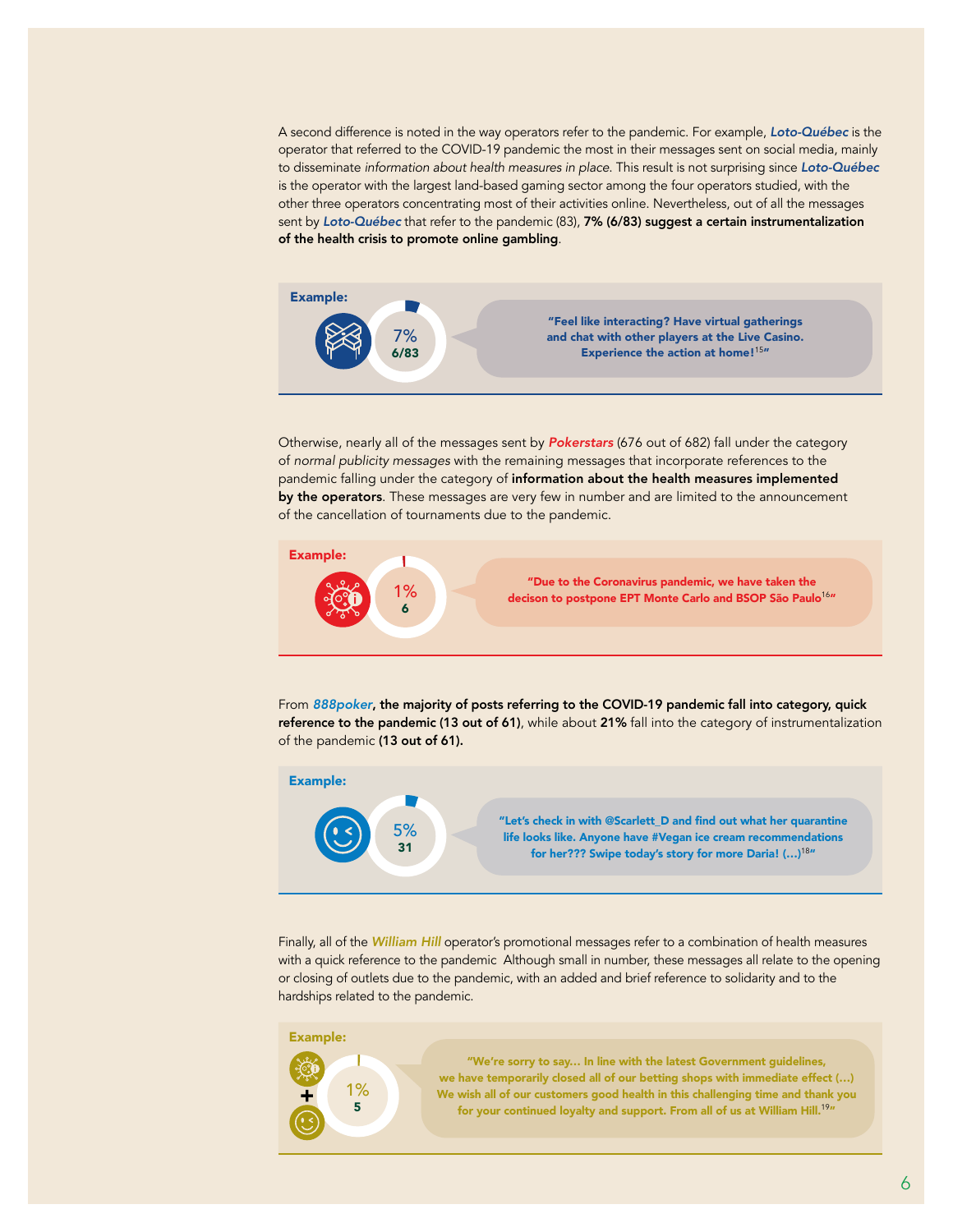A second difference is noted in the way operators refer to the pandemic. For example, *Loto-Québec* is the operator that referred to the COVID-19 pandemic the most in their messages sent on social media, mainly to disseminate *information about health measures in place*. This result is not surprising since *Loto-Québec* is the operator with the largest land-based gaming sector among the four operators studied, with the other three operators concentrating most of their activities online. Nevertheless, out of all the messages sent by *Loto-Québec* that refer to the pandemic (83), 7% (6/83) suggest a certain instrumentalization of the health crisis to promote online gambling.



Otherwise, nearly all of the messages sent by *Pokerstars* (676 out of 682) fall under the category of *normal publicity messages* with the remaining messages that incorporate references to the pandemic falling under the category of information about the health measures implemented by the operators. These messages are very few in number and are limited to the announcement of the cancellation of tournaments due to the pandemic.



From *888poker*, the majority of posts referring to the COVID-19 pandemic fall into category, quick reference to the pandemic (13 out of 61), while about 21% fall into the category of instrumentalization of the pandemic (13 out of 61).



Finally, all of the *William Hill* operator's promotional messages refer to a combination of health measures with a quick reference to the pandemic Although small in number, these messages all relate to the opening or closing of outlets due to the pandemic, with an added and brief reference to solidarity and to the hardships related to the pandemic.



"We're sorry to say… In line with the latest Government guidelines, we have temporarily closed all of our betting shops with immediate effect (…) We wish all of our customers good health in this challenging time and thank you for your continued loyalty and support. From all of us at William Hill.<sup>19</sup>"